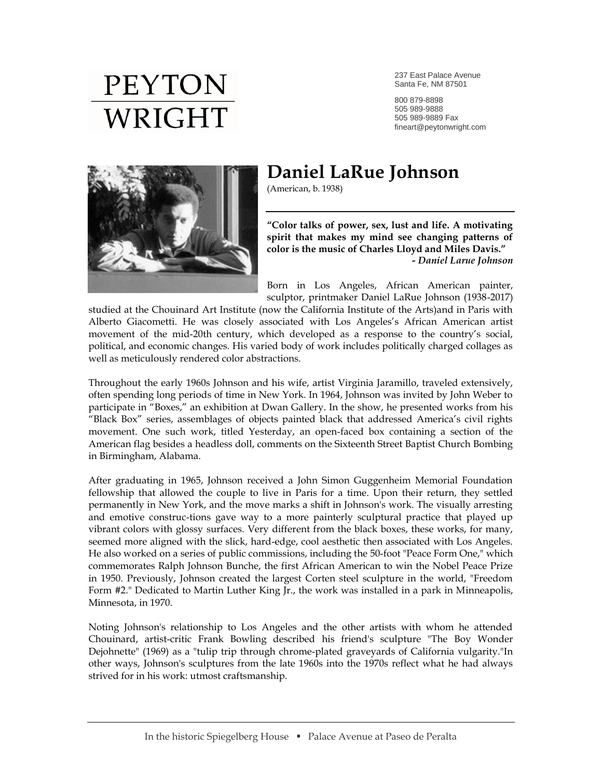## **PEYTON** WRIGHT

237 East Palace Avenue Santa Fe, NM 87501

800 879-8898 505 989-9888 505 989-9889 Fax fineart@peytonwright.com



## **Daniel LaRue Johnson**

(American, b. 1938)

**"Color talks of power, sex, lust and life. A motivating spirit that makes my mind see changing patterns of color is the music of Charles Lloyd and Miles Davis."** *- Daniel Larue Johnson*

Born in Los Angeles, African American painter, sculptor, printmaker Daniel LaRue Johnson (1938-2017)

studied at the Chouinard Art Institute (now the California Institute of the Arts)and in Paris with Alberto Giacometti. He was closely associated with Los Angeles's African American artist movement of the mid-20th century, which developed as a response to the country's social, political, and economic changes. His varied body of work includes politically charged collages as well as meticulously rendered color abstractions.

Throughout the early 1960s Johnson and his wife, artist Virginia Jaramillo, traveled extensively, often spending long periods of time in New York. In 1964, Johnson was invited by John Weber to participate in "Boxes," an exhibition at Dwan Gallery. In the show, he presented works from his "Black Box" series, assemblages of objects painted black that addressed America's civil rights movement. One such work, titled Yesterday, an open-faced box containing a section of the American flag besides a headless doll, comments on the Sixteenth Street Baptist Church Bombing in Birmingham, Alabama.

After graduating in 1965, Johnson received a John Simon Guggenheim Memorial Foundation fellowship that allowed the couple to live in Paris for a time. Upon their return, they settled permanently in New York, and the move marks a shift in Johnson's work. The visually arresting and emotive construc-tions gave way to a more painterly sculptural practice that played up vibrant colors with glossy surfaces. Very different from the black boxes, these works, for many, seemed more aligned with the slick, hard-edge, cool aesthetic then associated with Los Angeles. He also worked on a series of public commissions, including the 50-foot "Peace Form One," which commemorates Ralph Johnson Bunche, the first African American to win the Nobel Peace Prize in 1950. Previously, Johnson created the largest Corten steel sculpture in the world, "Freedom Form #2." Dedicated to Martin Luther King Jr., the work was installed in a park in Minneapolis, Minnesota, in 1970.

Noting Johnson's relationship to Los Angeles and the other artists with whom he attended Chouinard, artist-critic Frank Bowling described his friend's sculpture "The Boy Wonder Dejohnette" (1969) as a "tulip trip through chrome-plated graveyards of California vulgarity."In other ways, Johnson's sculptures from the late 1960s into the 1970s reflect what he had always strived for in his work: utmost craftsmanship.